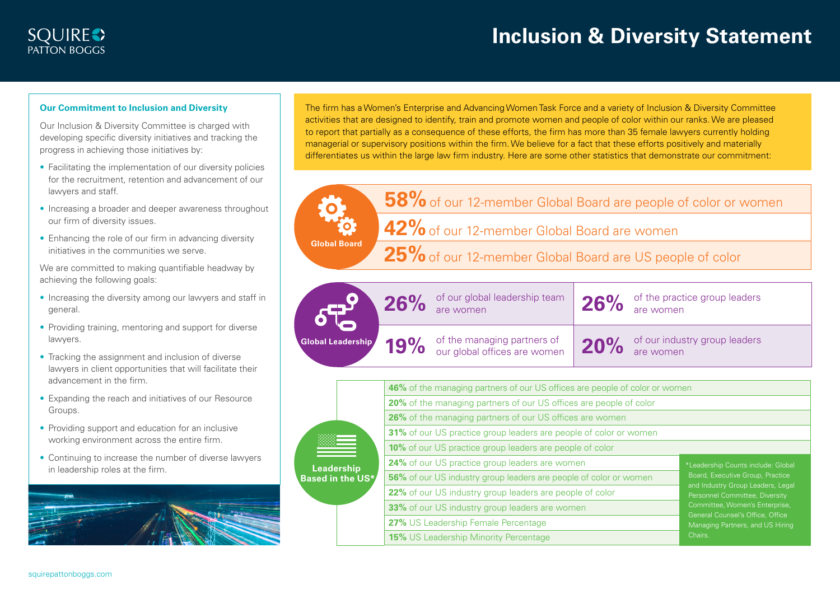## **Our Commitment to Inclusion and Diversity**

Our Inclusion & Diversity Committee is charged with developing specific diversity initiatives and tracking the progress in achieving those initiatives by:

- Facilitating the implementation of our diversity policies for the recruitment, retention and advancement of our lawyers and staff.
- Increasing a broader and deeper awareness throughout our firm of diversity issues.

**Global Board**

• Enhancing the role of our firm in advancing diversity initiatives in the communities we serve.

We are committed to making quantifiable headway by achieving the following goals:

- Increasing the diversity among our lawyers and staff in general.
- Providing training, mentoring and support for diverse lawyers.
- Tracking the assignment and inclusion of diverse lawyers in client opportunities that will facilitate their advancement in the firm.
- Expanding the reach and initiatives of our Resource Groups.
- Providing support and education for an inclusive working environment across the entire firm.
- Continuing to increase the number of diverse lawyers in leadership roles at the firm.



The firm has a Women's Enterprise and Advancing Women Task Force and a variety of Inclusion & Diversity Committee activities that are designed to identify, train and promote women and people of color within our ranks. We are pleased to report that partially as a consequence of these efforts, the firm has more than 35 female lawyers currently holding managerial or supervisory positions within the firm. We believe for a fact that these efforts positively and materially differentiates us within the large law firm industry. Here are some other statistics that demonstrate our commitment:

**58%** of our 12-member Global Board are people of color or women

**42%** of our 12-member Global Board are women

25% of our 12-member Global Board are US people of color

|                          | 26% | of our global leadership team<br>are women                  | 26% | of the practice group leaders<br>are women |
|--------------------------|-----|-------------------------------------------------------------|-----|--------------------------------------------|
| <b>Global Leadership</b> | 19% | of the managing partners of<br>our global offices are women | 20% | of our industry group leaders<br>are women |

| Leadership<br><b>Based in the US*</b> | 46% of the managing partners of our US offices are people of color or women |                                                                                                                                                                                                                                                         |         |  |  |
|---------------------------------------|-----------------------------------------------------------------------------|---------------------------------------------------------------------------------------------------------------------------------------------------------------------------------------------------------------------------------------------------------|---------|--|--|
|                                       | 20% of the managing partners of our US offices are people of color          |                                                                                                                                                                                                                                                         |         |  |  |
|                                       | 26% of the managing partners of our US offices are women                    |                                                                                                                                                                                                                                                         |         |  |  |
|                                       | 31% of our US practice group leaders are people of color or women           |                                                                                                                                                                                                                                                         |         |  |  |
|                                       | <b>10%</b> of our US practice group leaders are people of color             |                                                                                                                                                                                                                                                         |         |  |  |
|                                       | 24% of our US practice group leaders are women                              | *Leadership Counts include: Global<br>Board, Executive Group, Practice<br>and Industry Group Leaders, Legal<br>Personnel Committee, Diversity<br>Committee, Women's Enterprise,<br>General Counsel's Office, Office<br>Managing Partners, and US Hiring |         |  |  |
|                                       | 56% of our US industry group leaders are people of color or women           |                                                                                                                                                                                                                                                         |         |  |  |
|                                       | 22% of our US industry group leaders are people of color                    |                                                                                                                                                                                                                                                         |         |  |  |
|                                       | 33% of our US industry group leaders are women                              |                                                                                                                                                                                                                                                         |         |  |  |
|                                       | 27% US Leadership Female Percentage                                         |                                                                                                                                                                                                                                                         |         |  |  |
|                                       |                                                                             | <b>15%</b> US Leadership Minority Percentage                                                                                                                                                                                                            | Chairs. |  |  |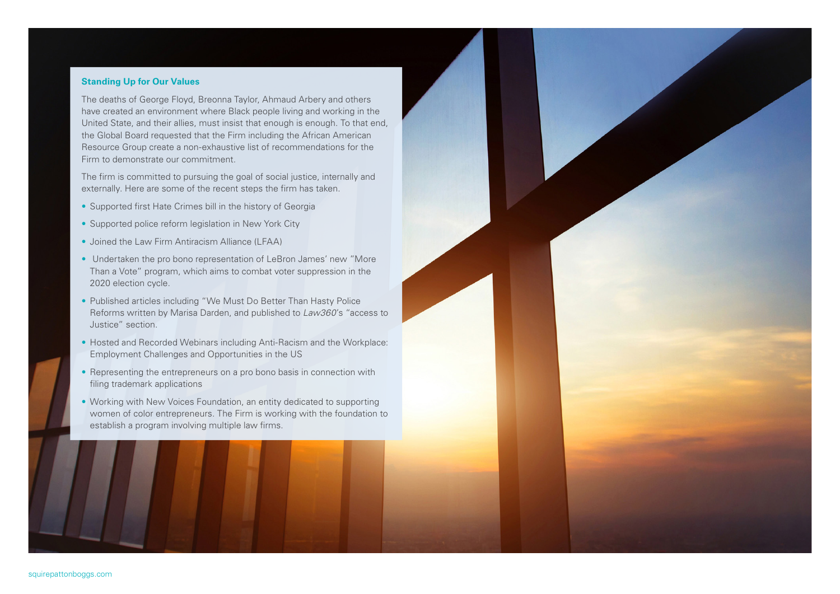## **Standing Up for Our Values**

The deaths of George Floyd, Breonna Taylor, Ahmaud Arbery and others have created an environment where Black people living and working in the United State, and their allies, must insist that enough is enough. To that end, the Global Board requested that the Firm including the African American Resource Group create a non-exhaustive list of recommendations for the Firm to demonstrate our commitment.

The firm is committed to pursuing the goal of social justice, internally and externally. Here are some of the recent steps the firm has taken.

- Supported first Hate Crimes bill in the history of Georgia
- Supported police reform legislation in New York City
- Joined the Law Firm Antiracism Alliance (LFAA)
- Undertaken the pro bono representation of LeBron James' new "More Than a Vote" program, which aims to combat voter suppression in the 2020 election cycle.
- Published articles including "We Must Do Better Than Hasty Police Reforms written by Marisa Darden, and published to *Law360*'s "access to Justice" section.
- Hosted and Recorded Webinars including Anti-Racism and the Workplace: Employment Challenges and Opportunities in the US
- Representing the entrepreneurs on a pro bono basis in connection with filing trademark applications
- Working with New Voices Foundation, an entity dedicated to supporting women of color entrepreneurs. The Firm is working with the foundation to establish a program involving multiple law firms.

squirepattonboggs.com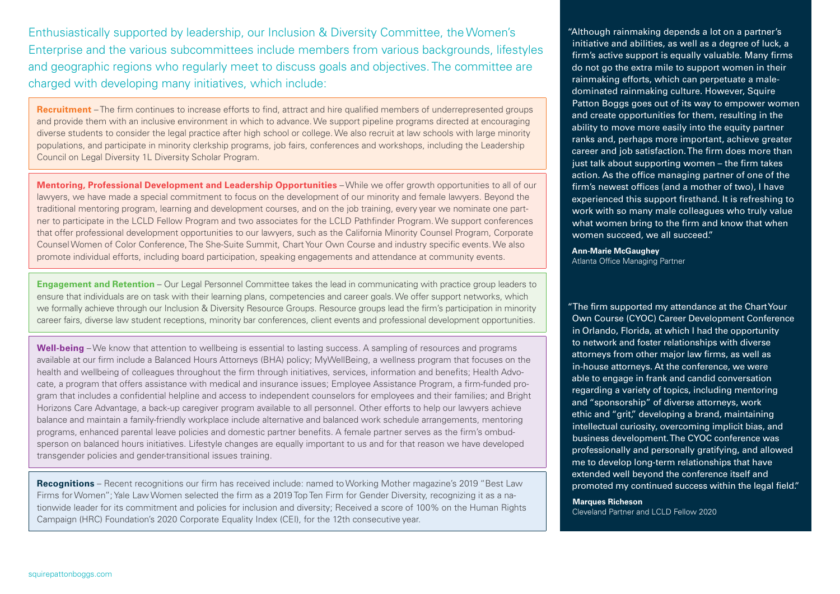Enthusiastically supported by leadership, our Inclusion & Diversity Committee, the Women's Enterprise and the various subcommittees include members from various backgrounds, lifestyles and geographic regions who regularly meet to discuss goals and objectives. The committee are charged with developing many initiatives, which include:

**Recruitment** – The firm continues to increase efforts to find, attract and hire qualified members of underrepresented groups and provide them with an inclusive environment in which to advance. We support pipeline programs directed at encouraging diverse students to consider the legal practice after high school or college. We also recruit at law schools with large minority populations, and participate in minority clerkship programs, job fairs, conferences and workshops, including the Leadership Council on Legal Diversity 1L Diversity Scholar Program.

**Mentoring, Professional Development and Leadership Opportunities** – While we offer growth opportunities to all of our lawyers, we have made a special commitment to focus on the development of our minority and female lawyers. Beyond the traditional mentoring program, learning and development courses, and on the job training, every year we nominate one partner to participate in the LCLD Fellow Program and two associates for the LCLD Pathfinder Program. We support conferences that offer professional development opportunities to our lawyers, such as the California Minority Counsel Program, Corporate Counsel Women of Color Conference, The She-Suite Summit, Chart Your Own Course and industry specific events. We also promote individual efforts, including board participation, speaking engagements and attendance at community events.

**Engagement and Retention - Our Legal Personnel Committee takes the lead in communicating with practice group leaders to** ensure that individuals are on task with their learning plans, competencies and career goals. We offer support networks, which we formally achieve through our Inclusion & Diversity Resource Groups. Resource groups lead the firm's participation in minority career fairs, diverse law student receptions, minority bar conferences, client events and professional development opportunities.

**Well-being** – We know that attention to wellbeing is essential to lasting success. A sampling of resources and programs available at our firm include a Balanced Hours Attorneys (BHA) policy; MyWellBeing, a wellness program that focuses on the health and wellbeing of colleagues throughout the firm through initiatives, services, information and benefits; Health Advocate, a program that offers assistance with medical and insurance issues; Employee Assistance Program, a firm-funded program that includes a confidential helpline and access to independent counselors for employees and their families; and Bright Horizons Care Advantage, a back-up caregiver program available to all personnel. Other efforts to help our lawyers achieve balance and maintain a family-friendly workplace include alternative and balanced work schedule arrangements, mentoring programs, enhanced parental leave policies and domestic partner benefits. A female partner serves as the firm's ombudsperson on balanced hours initiatives. Lifestyle changes are equally important to us and for that reason we have developed transgender policies and gender-transitional issues training.

**Recognitions** – Recent recognitions our firm has received include: named to Working Mother magazine's 2019 "Best Law Firms for Women"; Yale Law Women selected the firm as a 2019 Top Ten Firm for Gender Diversity, recognizing it as a nationwide leader for its commitment and policies for inclusion and diversity; Received a score of 100% on the Human Rights Campaign (HRC) Foundation's 2020 Corporate Equality Index (CEI), for the 12th consecutive year.

"Although rainmaking depends a lot on a partner's initiative and abilities, as well as a degree of luck, a firm's active support is equally valuable. Many firms do not go the extra mile to support women in their rainmaking efforts, which can perpetuate a maledominated rainmaking culture. However, Squire Patton Boggs goes out of its way to empower women and create opportunities for them, resulting in the ability to move more easily into the equity partner ranks and, perhaps more important, achieve greater career and job satisfaction. The firm does more than just talk about supporting women – the firm takes action. As the office managing partner of one of the firm's newest offices (and a mother of two), I have experienced this support firsthand. It is refreshing to work with so many male colleagues who truly value what women bring to the firm and know that when women succeed, we all succeed."

**Ann-Marie McGaughey** Atlanta Office Managing Partner

"The firm supported my attendance at the Chart Your Own Course (CYOC) Career Development Conference in Orlando, Florida, at which I had the opportunity to network and foster relationships with diverse attorneys from other major law firms, as well as in-house attorneys. At the conference, we were able to engage in frank and candid conversation regarding a variety of topics, including mentoring and "sponsorship" of diverse attorneys, work ethic and "grit," developing a brand, maintaining intellectual curiosity, overcoming implicit bias, and business development. The CYOC conference was professionally and personally gratifying, and allowed me to develop long-term relationships that have extended well beyond the conference itself and promoted my continued success within the legal field."

**Marques Richeson** Cleveland Partner and LCLD Fellow 2020